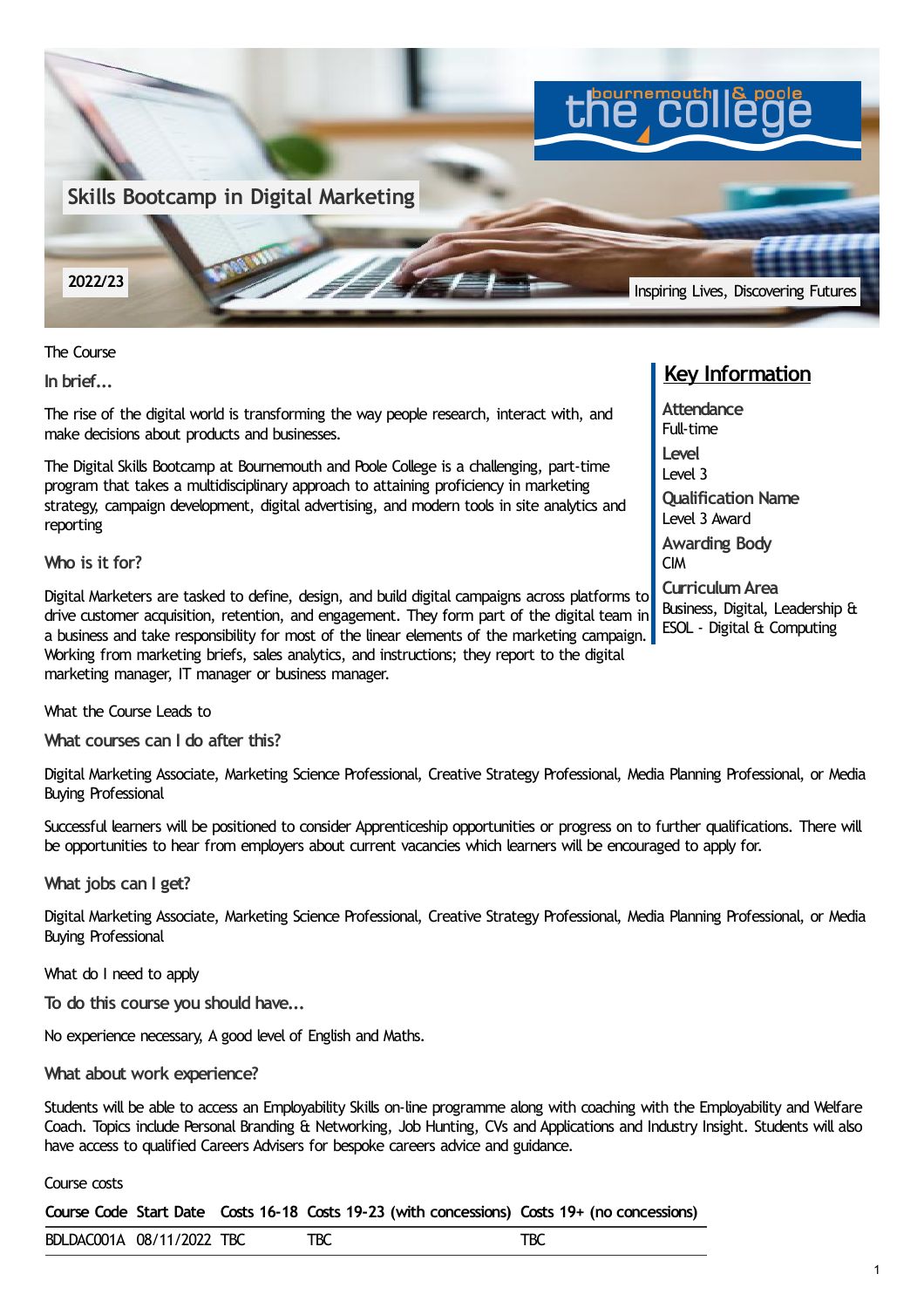

The Course

**In brief...**

The rise of the digital world is transforming the way people research, interact with, and make decisions about products and businesses.

The Digital Skills Bootcamp at Bournemouth and Poole College is a challenging, part-time program that takes a multidisciplinary approach to attaining proficiency in marketing strategy, campaign development, digital advertising, and modern tools in site analytics and reporting

**Who is it for?**

Digital Marketers are tasked to define, design, and build digital campaigns across platforms to drive customer acquisition, retention, and engagement. They form part of the digital team in a business and take responsibility for most of the linear elements of the marketing campaign. Working from marketing briefs, sales analytics, and instructions; they report to the digital marketing manager, IT manager or business manager.

What the Course Leads to

**What courses can I do after this?**

Digital Marketing Associate, Marketing Science Professional, Creative Strategy Professional, Media Planning Professional, or Media Buying Professional

Successful learners will be positioned to consider Apprenticeship opportunities or progress on to further qualifications. There will be opportunities to hear from employers about current vacancies which learners will be encouraged to apply for.

**What jobs can I get?**

Digital Marketing Associate, Marketing Science Professional, Creative Strategy Professional, Media Planning Professional, or Media Buying Professional

What do I need to apply

**To do this course you should have...**

No experience necessary, A good level of English and Maths.

**What about work experience?**

Students will be able to access an Employability Skills on-line programme along with coaching with the Employability and Welfare Coach. Topics include Personal Branding & Networking, Job Hunting, CVs and Applications and Industry Insight. Students will also have access to qualified Careers Advisers for bespoke careers advice and guidance.

## Course costs

**Course Code Start Date Costs 16-18 Costs 19-23 (with concessions) Costs 19+ (no concessions)**

BDLDAC001A 08/11/2022 TBC TBC TBC TBC

## **Key Information**

**Attendance** Full-time **Level** Level 3 **Qualification Name** Level 3 Award **Awarding Body** CIM **CurriculumArea** Business, Digital, Leadership & ESOL - Digital & Computing